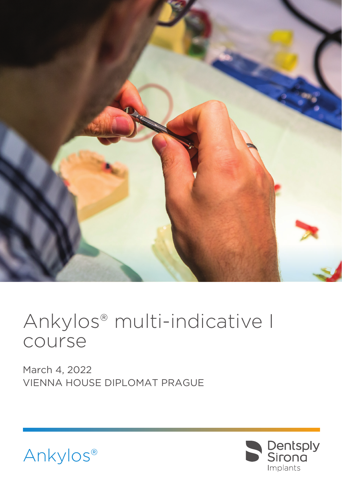

# Ankylos® multi-indicative I course

March 4, 2022 VIENNA HOUSE DIPLOMAT PRAGUE



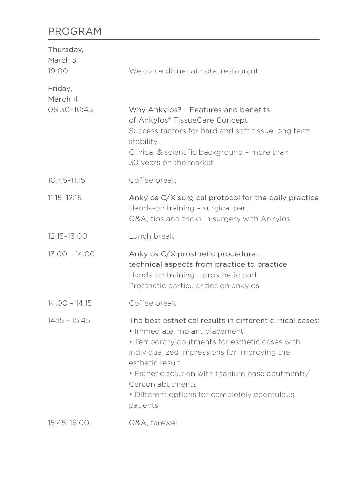### PROGRAM

| Thursday,<br>March <sub>3</sub><br>19:00 | Welcome dinner at hotel restaurant                                                                                                                                                                                                                                                                                                                  |
|------------------------------------------|-----------------------------------------------------------------------------------------------------------------------------------------------------------------------------------------------------------------------------------------------------------------------------------------------------------------------------------------------------|
| Friday,<br>March 4<br>$08:30-10:45$      | Why Ankylos? - Features and benefits<br>of Ankylos® TissueCare Concept<br>Success factors for hard and soft tissue long term<br>stability<br>Clinical & scientific background - more than<br>30 years on the market                                                                                                                                 |
| $10:45 - 11:15$                          | Coffee break                                                                                                                                                                                                                                                                                                                                        |
| $11:15 - 12:15$                          | Ankylos C/X surgical protocol for the daily practice<br>Hands-on training - surgical part<br>Q&A, tips and tricks in surgery with Ankylos                                                                                                                                                                                                           |
| 12:15-13:00                              | Lunch break                                                                                                                                                                                                                                                                                                                                         |
| $13:00 - 14:00$                          | Ankylos C/X prosthetic procedure -<br>technical aspects from practice to practice<br>Hands-on training - prosthetic part<br>Prosthetic particularities on ankylos                                                                                                                                                                                   |
| $14:00 - 14:15$                          | Coffee break                                                                                                                                                                                                                                                                                                                                        |
| $14:15 - 15:45$                          | The best esthetical results in different clinical cases:<br>• Immediate implant placement<br>• Temporary abutments for esthetic cases with<br>individualized impressions for improving the<br>esthetic result<br>• Esthetic solution with titanium base abutments/<br>Cercon abutments<br>• Different options for completely edentulous<br>patients |
| 15:45-16:00                              | Q&A. farewell                                                                                                                                                                                                                                                                                                                                       |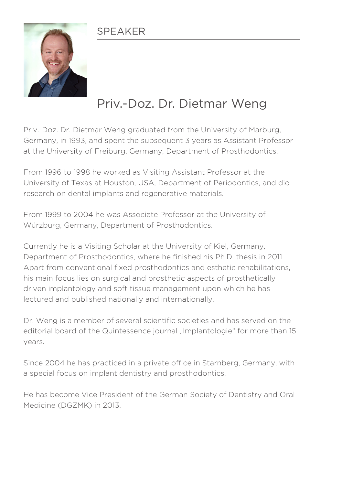#### SPEAKER



# Priv.-Doz. Dr. Dietmar Weng

Priv.-Doz. Dr. Dietmar Weng graduated from the University of Marburg, Germany, in 1993, and spent the subsequent 3 years as Assistant Professor at the University of Freiburg, Germany, Department of Prosthodontics.

From 1996 to 1998 he worked as Visiting Assistant Professor at the University of Texas at Houston, USA, Department of Periodontics, and did research on dental implants and regenerative materials.

From 1999 to 2004 he was Associate Professor at the University of Würzburg, Germany, Department of Prosthodontics.

Currently he is a Visiting Scholar at the University of Kiel, Germany, Department of Prosthodontics, where he finished his Ph.D. thesis in 2011. Apart from conventional fixed prosthodontics and esthetic rehabilitations, his main focus lies on surgical and prosthetic aspects of prosthetically driven implantology and soft tissue management upon which he has lectured and published nationally and internationally.

Dr. Weng is a member of several scientific societies and has served on the editorial board of the Quintessence journal "Implantologie" for more than 15 years.

Since 2004 he has practiced in a private office in Starnberg, Germany, with a special focus on implant dentistry and prosthodontics.

He has become Vice President of the German Society of Dentistry and Oral Medicine (DGZMK) in 2013.